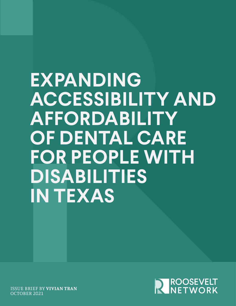# **EXPANDING ACCESSIBILITY AND AFFORDABILITY OF DENTAL CARE FOR PEOPLE WITH DISABILITIES IN TEXAS**



ISSUE BRIEF BY **VIVIAN TRAN**  OCTOBER 2021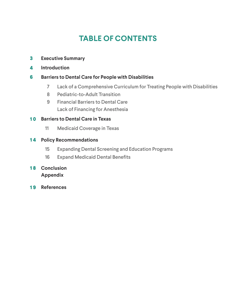# **TABLE OF CONTENTS**

- **3 Executive Summary**
- **4 Introduction**

#### **6 Barriers to Dental Care for People with Disabilities**

- 7 Lack of a Comprehensive Curriculum for Treating People with Disabilities
- 8 Pediatric-to-Adult Transition
- Lack of Financing for Anesthesia 9 Financial Barriers to Dental Care

### **1 0 Barriers to Dental Care in Texas**

11 Medicaid Coverage in Texas

#### **1 4 Policy Recommendations**

- 15 Expanding Dental Screening and Education Programs
- 16 Expand Medicaid Dental Benefits

## **1 8 Conclusion Appendix**

**1 9 References**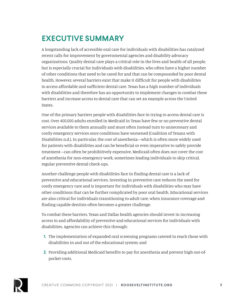# **EXECUTIVE SUMMARY**

A longstanding lack of accessible oral care for individuals with disabilities has catalyzed recent calls for improvement by governmental agencies and disability advocacy organizations. Quality dental care plays a critical role in the lives and health of all people, but is especially crucial for individuals with disabilities, who often have a higher number of other conditions that need to be cared for and that can be compounded by poor dental health. However, several barriers exist that make it difficult for people with disabilities to access affordable and sufficient dental care. Texas has a high number of individuals with disabilities and therefore has an opportunity to implement changes to combat these barriers and increase access to dental care that can set an example across the United States.

One of the primary barriers people with disabilities face in trying to access dental care is cost. Over 400,000 adults enrolled in Medicaid in Texas have few or no preventive dental services available to them annually and must often instead turn to unnecessary and costly emergency services once conditions have worsened (Coalition of Texans with Disabilities n.d.). In particular, the cost of anesthesia—which is often more widely used for patients with disabilities and can be beneficial or even imperative to safely provide treatment—can often be prohibitively expensive. Medicaid often does not cover the cost of anesthesia for non-emergency work, sometimes leading individuals to skip critical, regular preventive dental check-ups.

Another challenge people with disabilities face in finding dental care is a lack of preventive and educational services. Investing in preventive care reduces the need for costly emergency care and is important for individuals with disabilities who may have other conditions that can be further complicated by poor oral health. Educational services are also critical for individuals transitioning to adult care, when insurance coverage and finding capable dentists often becomes a greater challenge.

To combat these barriers, Texas and Dallas health agencies should invest in increasing access to and affordability of preventive and educational services for individuals with disabilities. Agencies can achieve this through:

- **1.** The implementation of expanded oral screening programs catered to reach those with disabilities in and out of the educational system; and
- **2.** Providing additional Medicaid benefits to pay for anesthesia and prevent high out-ofpocket costs.

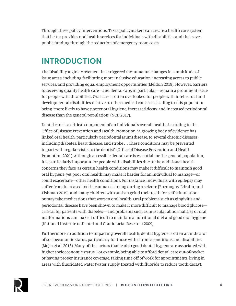Through these policy interventions, Texas policymakers can create a health care system that better provides oral health services for individuals with disabilities and that saves public funding through the reduction of emergency room costs.

## **INTRODUCTION**

The Disability Rights Movement has triggered monumental changes in a multitude of issue areas, including facilitating more inclusive education, increasing access to public services, and providing equal employment opportunities (Meldon 2019). However, barriers to receiving quality health care—and dental care, in particular—remain a prominent issue for people with disabilities. Oral care is often overlooked for people with intellectual and developmental disabilities relative to other medical concerns, leading to this population being "more likely to have poorer oral hygiene, increased decay, and increased periodontal disease than the general population" (NCD 2017).

Dental care is a critical component of an individual's overall health: According to the Office of Disease Prevention and Health Promotion, "A growing body of evidence has linked oral health, particularly periodontal (gum) disease, to several chronic diseases, including diabetes, heart disease, and stroke . . . These conditions may be prevented in part with regular visits to the dentist" (Office of Disease Prevention and Health Promotion 2021). Although accessible dental care is essential for the general population, it is particularly important for people with disabilities due to the additional health concerns they face, as certain health conditions may make it difficult to maintain good oral hygiene, yet poor oral health may make it harder for an individual to manage—or could exacerbate—other health conditions. For instance, individuals with epilepsy may suffer from increased tooth trauma occurring during a seizure (Burroughs, Edralin, and Fishman 2019), and many children with autism grind their teeth for self-stimulation or may take medications that worsen oral health. Oral problems such as gingivitis and periodontal disease have been shown to make it more difficult to manage blood glucose critical for patients with diabetes— and problems such as muscular abnormalities or oral malformations can make it difficult to maintain a nutritional diet and good oral hygiene (National Institute of Dental and Craniofacial Research 2009).

Furthermore, in addition to impacting overall health, dental hygiene is often an indicator of socioeconomic status, particularly for those with chronic conditions and disabilities (Mejia et al. 2018). Many of the factors that lead to good dental hygiene are associated with higher socioeconomic status: For example, being able to afford dental care out-of-pocket or having proper insurance coverage, taking time off of work for appointments, living in areas with fluoridated water (water supply treated with fluoride to reduce tooth decay),

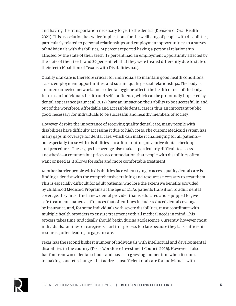and having the transportation necessary to get to the dentist (Division of Oral Health 2021). This association has wider implications for the wellbeing of people with disabilities, particularly related to personal relationships and employment opportunities: In a survey of individuals with disabilities, 24 percent reported having a personal relationship affected by the state of their teeth, 19 percent had an employment opportunity affected by the state of their teeth, and 30 percent felt that they were treated differently due to state of their teeth (Coalition of Texans with Disabilities n.d.).

Quality oral care is therefore crucial for individuals to maintain good health conditions, access employment opportunities, and sustain quality social relationships. The body is an interconnected network, and so dental hygiene affects the health of rest of the body. In turn, an individual's health and self-confidence, which can be profoundly impacted by dental appearance (Kaur et al. 2017), have an impact on their ability to be successful in and out of the workforce. Affordable and accessible dental care is thus an important public good, necessary for individuals to be successful and healthy members of society.

However, despite the importance of receiving quality dental care, many people with disabilities have difficulty accessing it due to high costs. The current Medicaid system has many gaps in coverage for dental care, which can make it challenging for all patients but especially those with disabilities—to afford routine preventive dental check-ups and procedures. These gaps in coverage also make it particularly difficult to access anesthesia—a common but pricey accommodation that people with disabilities often want or need as it allows for safer and more comfortable treatment.

Another barrier people with disabilities face when trying to access quality dental care is finding a dentist with the comprehensive training and resources necessary to treat them. This is especially difficult for adult patients, who lose the extensive benefits provided by childhood Medicaid Programs at the age of 21. As patients transition to adult dental coverage, they must find a new dental provider that is educated and equipped to give safe treatment, maneuver finances that oftentimes include reduced dental coverage by insurance, and, for some individuals with severe disabilities, must coordinate with multiple health providers to ensure treatment with all medical needs in mind. This process takes time, and ideally should begin during adolescence. Currently, however, most individuals, families, or caregivers start this process too late because they lack sufficient resources, often leading to gaps in care.

Texas has the second highest number of individuals with intellectual and developmental disabilities in the country (Texas Workforce Investment Council 2016). However, it also has four renowned dental schools and has seen growing momentum when it comes to making concrete changes that address insufficient oral care for individuals with

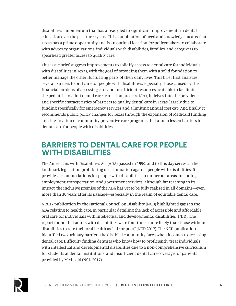disabilities—momentum that has already led to significant improvements in dental education over the past three years. This combination of need and knowledge means that Texas has a prime opportunity and is an optimal location for policymakers to collaborate with advocacy organizations, individuals with disabilities, families, and caregivers to spearhead greater access to quality care.

This issue brief suggests improvements to solidify access to dental care for individuals with disabilities in Texas, with the goal of providing them with a solid foundation to better manage the other fluctuating parts of their daily lives. This brief first analyzes several barriers to oral care for people with disabilities, especially those caused by the financial burdens of accessing care and insufficient resources available to facilitate the pediatric-to-adult dental care transition process. Next, it delves into the prevalence and specific characteristics of barriers to quality dental care in Texas, largely due to funding specifically for emergency services and a limiting annual cost cap. And finally, it recommends public policy changes for Texas through the expansion of Medicaid funding and the creation of community preventive care programs that aim to lessen barriers to dental care for people with disabilities.

## **BARRIERS TO DENTAL CARE FOR PEOPLE WITH DISABILITIES**

The Americans with Disabilities Act (ADA) passed in 1990, and to this day serves as the landmark legislation prohibiting discrimination against people with disabilities. It provides accommodations for people with disabilities in numerous areas, including employment, transportation, and government services. Although far reaching in its impact, the inclusive premise of the ADA has yet to be fully realized in all domains—even more than 30 years after its passage—especially in the realm of equitable dental care.

A 2017 publication by the National Council on Disability (NCD) highlighted gaps in the ADA relating to health care, in particular detailing the lack of accessible and affordable oral care for individuals with intellectual and developmental disabilities (I/DD). The report found that adults with disabilities were four times more likely than those without disabilities to rate their oral health as "fair or poor" (NCD 2017). The NCD publication identified two primary barriers the disabled community faces when it comes to accessing dental care: Difficulty finding dentists who know how to proficiently treat individuals with intellectual and developmental disabilities due to a non-comprehensive curriculum for students at dental institutions, and insufficient dental care coverage for patients provided by Medicaid (NCD 2017).

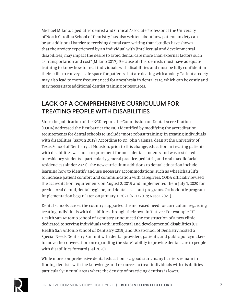Michael Milano, a pediatric dentist and Clinical Associate Professor at the University of North Carolina School of Dentistry, has also written about how patient anxiety can be an additional barrier to receiving dental care, writing that, "Studies have shown that the anxiety experienced by an individual with [intellectual and developmental disabilities] may impact the desire to avoid dental care more than external factors such as transportation and cost" (Milano 2017). Because of this, dentists must have adequate training to know how to treat individuals with disabilities and must be fully confident in their skills to convey a safe space for patients that are dealing with anxiety. Patient anxiety may also lead to more frequent need for anesthesia in dental care, which can be costly and may necessitate additional dentist training or resources.

## LACK OF A COMPREHENSIVE CURRICULUM FOR TREATING PEOPLE WITH DISABILITIES

Since the publication of the NCD report, the Commission on Dental Accreditation (CODA) addressed the first barrier the NCD identified by modifying the accreditation requirements for dental schools to include "more robust training" in treating individuals with disabilities (Garvin 2019). According to Dr. John Valenza, dean at the University of Texas School of Dentistry at Houston, prior to this change, education in treating patients with disabilities was not a requirement for most dental students and was restricted to residency students—particularly general practice, pediatric, and oral maxillofacial residencies (Binder 2021). The new curriculum additions to dental education include learning how to identify and use necessary accommodations, such as wheelchair lifts, to increase patient comfort and communication with caregivers. CODA officially revised the accreditation requirements on August 2, 2019 and implemented them July 1, 2020 for predoctoral dental, dental hygiene, and dental assistant programs. Orthodontic program implementation began later, on January 1, 2021 (NCD 2019; Nasca 2021).

Dental schools across the country supported the increased need for curriculum regarding treating individuals with disabilities through their own initiatives: For example, UT Health San Antonio School of Dentistry announced the construction of a new clinic dedicated to serving individuals with intellectual and developmental disabilities (UT Health San Antonio School of Dentistry 2019) and UCSF School of Dentistry hosted a Special Needs Dentistry Summit with dental providers, patients, and public policymakers to move the conversation on expanding the state's ability to provide dental care to people with disabilities forward (Bai 2020).

While more comprehensive dental education is a good start, many barriers remain in finding dentists with the knowledge and resources to treat individuals with disabilities particularly in rural areas where the density of practicing dentists is lower.

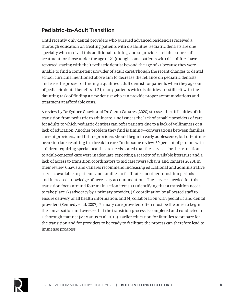## Pediatric-to-Adult Transition

Until recently, only dental providers who pursued advanced residencies received a thorough education on treating patients with disabilities. Pediatric dentists are one specialty who received this additional training, and so provide a reliable source of treatment for those under the age of 21 (though some patients with disabilities have reported staying with their pediatric dentist beyond the age of 21 because they were unable to find a competent provider of adult care). Though the recent changes to dental school curricula mentioned above aim to decrease the reliance on pediatric dentists and ease the process of finding a qualified adult dentist for patients when they age out of pediatric dental benefits at 21, many patients with disabilities are still left with the daunting task of finding a new dentist who can provide proper accommodations and treatment at affordable costs.

A review by Dr. Sydnee Chavis and Dr. Glenn Canares (2020) stresses the difficulties of this transition from pediatric to adult care. One issue is the lack of capable providers of care for adults to which pediatric dentists can refer patients due to a lack of willingness or a lack of education. Another problem they find is timing—conversations between families, current providers, and future providers should begin in early adolescence, but oftentimes occur too late, resulting in a break in care. In the same review, 59 percent of parents with children requiring special health care needs stated that the services for the transition to adult-centered care were inadequate, reporting a scarcity of available literature and a lack of access to transition coordinators to aid caregivers (Chavis and Canares 2020). In their review, Chavis and Canares recommend increasing educational and administrative services available to patients and families to facilitate smoother transition periods and increased knowledge of necessary accommodations. The services needed for this transition focus around four main action items: (1) Identifying that a transition needs to take place, (2) advocacy by a primary provider, (3) coordination by allocated staff to ensure delivery of all health information, and (4) collaboration with pediatric and dental providers (Kennedy et al. 2007). Primary care providers often must be the ones to begin the conversation and oversee that the transition process is completed and conducted in a thorough manner (McManus et al. 2013). Earlier education for families to prepare for the transition and for providers to be ready to facilitate the process can therefore lead to immense progress.

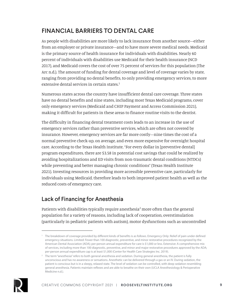## FINANCIAL BARRIERS TO DENTAL CARE

As people with disabilities are more likely to lack insurance from another source—either from an employer or private insurance—and to have more severe medical needs, Medicaid is the primary source of health insurance for individuals with disabilities. Nearly 60 percent of individuals with disabilities use Medicaid for their health insurance (NCD 2017), and Medicaid covers the cost of over 75 percent of services for this population (The Arc n.d.). The amount of funding for dental coverage and level of coverage varies by state, ranging from providing no dental benefits, to only providing emergency services, to more extensive dental services in certain states.<sup>1</sup>

Numerous states across the country have insufficient dental care coverage. Three states have no dental benefits and nine states, including most Texas Medicaid programs, cover only emergency services (Medicaid and CHIP Payment and Access Commission 2021), making it difficult for patients in these areas to finance routine visits to the dentist.

The difficulty in financing dental treatment costs leads to an increase in the use of emergency services rather than preventive services, which are often not covered by insurance. However, emergency services are far more costly—nine times the cost of a normal preventive check-up, on average, and even more expensive for overnight hospital care. According to the Texas Health Institute, "For every dollar in [preventive dental] program expenditures, there are \$3.58 in potential cost savings that could be realized by avoiding hospitalizations and ED visits from non-traumatic dental conditions (NTDCs) while preventing and better managing chronic conditions" (Texas Health Institute 2021). Investing resources in providing more accessible preventive care, particularly for individuals using Medicaid, therefore leads to both improved patient health as well as the reduced costs of emergency care.

## Lack of Financing for Anesthesia

Patients with disabilities typically require anesthesia $^2$  more often than the general population for a variety of reasons, including lack of cooperation, overstimulation (particularly in pediatric patients with autism), motor dysfunctions such as uncontrolled

<sup>&</sup>lt;sup>2</sup> The term "anesthesia" refers to both general anesthesia and sedation. During general anesthesia, the patient is fully unconscious and has no awareness or sensations. Anesthetic can be delivered through a gas or an IV. During sedation, the patient is conscious but is in a sleepy, relaxed state. The level of sedation can be controlled, with deep sedation resembling general anesthesia. Patients maintain reflexes and are able to breathe on their own (UCLA Anesthesiology & Perioperative Medicine n.d.).



<sup>&</sup>lt;sup>1</sup> The breakdown of coverage provided by different kinds of benefits is as follows. Emergency Only: Relief of pain under defined emergency situations. Limited: Fewer than 100 diagnostic, preventive, and minor restorative procedures recognized by the American Dental Association (ADA); per-person annual expenditure for care is \$1,000 or less. Extensive: A comprehensive mix of services, including more than 100 diagnostic, preventive, and minor and major restorative procedures approved by the ADA; per-person annual expenditure cap is at least \$1,000 (Center for Health Care Strategies Inc. 2019).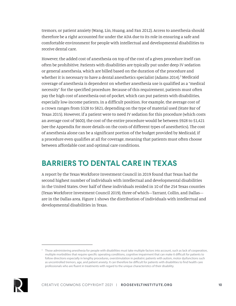tremors, or patient anxiety (Wang, Lin, Huang, and Fan 2012). Access to anesthesia should therefore be a right accounted for under the ADA due to its role in ensuring a safe and comfortable environment for people with intellectual and developmental disabilities to receive dental care.

However, the added cost of anesthesia on top of the cost of a given procedure itself can often be prohibitive. Patients with disabilities are typically put under deep IV sedation or general anesthesia, which are billed based on the duration of the procedure and whether it is necessary to have a dental anesthetics specialist (Adams 2014).<sup>3</sup> Medicaid coverage of anesthesia is dependent on whether anesthesia use is qualified as a "medical necessity" for the specified procedure. Because of this requirement, patients must often pay the high cost of anesthesia out-of-pocket, which can put patients with disabilities, especially low-income patients, in a difficult position. For example, the average cost of a crown ranges from \$328 to \$821, depending on the type of material used (State Bar of Texas 2015). However, if a patient were to need IV sedation for this procedure (which costs an average cost of \$600), the cost of the entire procedure would be between \$928 to \$1,421 (see the Appendix for more details on the costs of different types of anesthetics). The cost of anesthesia alone can be a significant portion of the budget provided by Medicaid, if a procedure even qualifies at all for coverage, meaning that patients must often choose between affordable cost and optimal care conditions.

## **BARRIERS TO DENTAL CARE IN TEXAS**

A report by the Texas Workforce Investment Council in 2019 found that Texas had the second highest number of individuals with intellectual and developmental disabilities in the United States. Over half of these individuals resided in 10 of the 254 Texas counties (Texas Workforce Investment Council 2019), three of which—Tarrant, Collin, and Dallas are in the Dallas area. Figure 1 shows the distribution of individuals with intellectual and developmental disabilities in Texas.

<sup>&</sup>lt;sup>3</sup> Those administering anesthesia for people with disabilities must take multiple factors into account, such as lack of cooperation, multiple morbidities that require specific operating conditions, cognitive impairment that can make it difficult for patients to follow directions especially in lengthy procedures, overstimulation in pediatric patients with autism, motor dysfunctions such as uncontrolled tremors, age, and patient anxiety. It can therefore be difficult for patients with disabilities to find health care professionals who are fluent in treatments with regard to the unique characteristics of their disability.

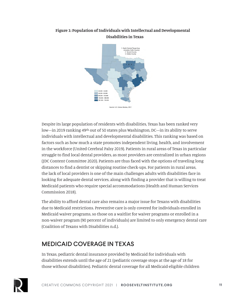

### **Figure 1: Population of Individuals with Intellectual and Developmental Disabilities in Texas**

Despite its large population of residents with disabilities, Texas has been ranked very low—in 2019 ranking 49th out of 50 states plus Washington, DC—in its ability to serve individuals with intellectual and developmental disabilities. This ranking was based on factors such as how much a state promotes independent living, health, and involvement in the workforce (United Cerebral Palsy 2019). Patients in rural areas of Texas in particular struggle to find local dental providers, as most providers are centralized in urban regions (JDC Content Committee 2020). Patients are thus faced with the options of traveling long distances to find a dentist or skipping routine check-ups. For patients in rural areas, the lack of local providers is one of the main challenges adults with disabilities face in looking for adequate dental services, along with finding a provider that is willing to treat Medicaid patients who require special accommodations (Health and Human Services Commission 2018).

The ability to afford dental care also remains a major issue for Texans with disabilities due to Medicaid restrictions. Preventive care is only covered for individuals enrolled in Medicaid waiver programs, so those on a waitlist for waiver programs or enrolled in a non-waiver program (90 percent of individuals) are limited to only emergency dental care (Coalition of Texans with Disabilities n.d.).

## MEDICAID COVERAGE IN TEXAS

In Texas, pediatric dental insurance provided by Medicaid for individuals with disabilities extends until the age of 21 (pediatric coverage stops at the age of 18 for those without disabilities). Pediatric dental coverage for all Medicaid-eligible children



Source: U.S. Census Bureau, 201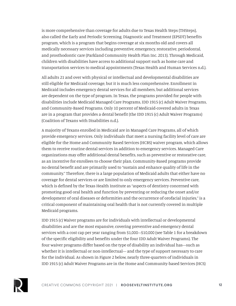is more comprehensive than coverage for adults due to Texas Health Steps (THSteps), also called the Early and Periodic Screening, Diagnostic and Treatment (EPSDT) benefits program, which is a program that begins coverage at six months old and covers all medically necessary services including preventive, emergency, restorative, periodontal, and prosthodontic care (Parkland Community Health Plan Inc. 2013). Through Medicaid, children with disabilities have access to additional support such as home care and transportation services to medical appointments (Texas Health and Human Services n.d.).

All adults 21 and over with physical or intellectual and developmental disabilities are still eligible for Medicaid coverage, but it is much less comprehensive. Enrollment in Medicaid includes emergency dental services for all members, but additional services are dependent on the type of program. In Texas, the programs provided for people with disabilities include Medicaid Managed Care Programs, IDD 1915 (c) Adult Waiver Programs, and Community-Based Programs. Only 10 percent of Medicaid-covered adults in Texas are in a program that provides a dental benefit (the IDD 1915 (c) Adult Waiver Programs) (Coalition of Texans with Disabilities n.d.).

A majority of Texans enrolled in Medicaid are in Managed Care Programs, all of which provide emergency services. Only individuals that meet a nursing facility level of care are eligible for the Home and Community Based Services (HCBS) waiver program, which allows them to receive routine dental services in addition to emergency services. Managed Care organizations may offer additional dental benefits, such as preventive or restorative care, as an incentive for enrollees to choose their plan. Community-Based programs provide no dental benefit and are primarily used to "sustain and enhance quality of life in the community." Therefore, there is a large population of Medicaid adults that either have no coverage for dental services or are limited to only emergency services. Preventive care, which is defined by the Texas Health Institute as "aspects of dentistry concerned with promoting good oral health and function by preventing or reducing the onset and/or development of oral diseases or deformities and the occurrence of orofacial injuries," is a critical component of maintaining oral health that is not currently covered in multiple Medicaid programs.

IDD 1915 (c) Waiver programs are for individuals with intellectual or developmental disabilities and are the most expansive, covering preventive and emergency dental services with a cost cap per year ranging from \$1,000–\$10,000 (see Table 1 for a breakdown of the specific eligibility and benefits under the four IDD Adult Waiver Programs). The four waiver programs differ based on the type of disability an individual has—such as whether it is intellectual or non-intellectual— and the type of support necessary to care for the individual. As shown in Figure 2 below, nearly three-quarters of individuals in IDD 1915 (c) Adult Waiver Programs are in the Home and Community-based Services (HCS)

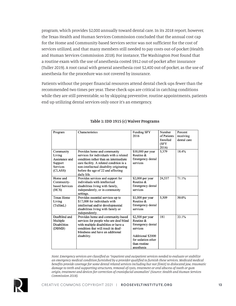program, which provides \$2,000 annually toward dental care. In its 2018 report, however, the Texas Health and Human Services Commission concluded that the annual cost cap for the Home and Community-based Services sector was not sufficient for the cost of services utilized, and that many members still needed to pay costs out-of-pocket (Health and Human Services Commission 2018). For instance, The Washington Post found that a routine exam with the use of anesthesia costed \$912 out-of-pocket after insurance (Tuller 2019). A root canal with general anesthesia cost \$2,400 out-of-pocket, as the use of anesthesia for the procedure was not covered by insurance.

Patients without the proper financial resources attend dental check-ups fewer than the recommended two times per year. These check-ups are critical in catching conditions while they are still preventable, so by skipping preventive, routine appointments, patients end up utilizing dental services only once it's an emergency.

| Program             | Characteristics                         | <b>Funding SFY</b> | Number      | Percent     |
|---------------------|-----------------------------------------|--------------------|-------------|-------------|
|                     |                                         | 2016               | of Patients | receiving   |
|                     |                                         |                    | Enrolled    | dental care |
|                     |                                         |                    | (SFY        |             |
|                     |                                         |                    | 2016)       |             |
| Community           | Provides home and community             | \$10,000 per year  | 3,379       | 18.4%       |
| Living              | services for individuals with a related | Routine $\&$       |             |             |
| Assistance and      | condition rather than an intermediate   | Emergency dental   |             |             |
| Support             | care facility. A related condition is a | services           |             |             |
| <b>Services</b>     | non-intellectual disability originating |                    |             |             |
| (CLASS)             | before the age of 22 and affecting      |                    |             |             |
|                     |                                         |                    |             |             |
| Home and            | daily life.                             |                    |             | 71.1%       |
|                     | Provides services and support for       | $$2,000$ per year  | 24,537      |             |
| Community-          | individuals with intellectual           | Routine &          |             |             |
| based Services      | disabilities living with family,        | Emergency dental   |             |             |
| (HCS)               | independently, or in community          | services           |             |             |
|                     | settings.                               |                    |             |             |
| <b>Texas Home</b>   | Provides essential services up to       | $$1,000$ per year  | 5,509       | 50.0%       |
| Living              | \$17,000 for individuals with           | Routine $\&$       |             |             |
| (TxHmL)             | intellectual and/or developmental       | Emergency dental   |             |             |
|                     | disabilities living with family or      | services           |             |             |
|                     | independently.                          |                    |             |             |
| Deafblind and       | Provides home and community-based       | $$2,500$ per year  | 181         | 33.1%       |
| Multiple            | services for people who are deaf-blind  | Routine $\&$       |             |             |
| <b>Disabilities</b> | with multiple disabilities or have a    | Emergency dental   |             |             |
| (DBMB)              | condition that will result in deaf-     | services           |             |             |
|                     | blindness and have an additional        |                    |             |             |
|                     | disability.                             | Additional \$2000  |             |             |
|                     |                                         | for sedation other |             |             |
|                     |                                         | than routine       |             |             |
|                     |                                         | anesthesia         |             |             |

#### **Table 1: IDD 1915 (c) Waiver Programs**

*Note: Emergency services are classified as "inpatient and outpatient services needed to evaluate or stabilize an emergency medical condition furnished by a provider qualified to furnish these services. Medicaid medical benefits provide coverage for some dental related services including but not [limit] to dislocated jaw, traumatic damage to teeth and supporting structures, removal of cysts, treatment or oral abscess of tooth or gum origin, treatment and devices for correction of craniofacial anomalies" (Source: Health and Human Services Commission 2018).*

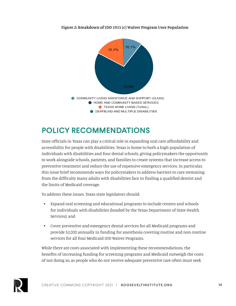

**Figure 2: Breakdown of IDD 1915 (c) Waiver Program User Population**

# **POLICY RECOMMENDATIONS**

State officials in Texas can play a critical role in expanding oral care affordability and accessibility for people with disabilities. Texas is home to both a high population of individuals with disabilities and four dental schools, giving policymakers the opportunity to work alongside schools, patients, and families to create systems that increase access to preventive treatment and reduce the use of expensive emergency services. In particular, this issue brief recommends ways for policymakers to address barriers to care stemming from the difficulty many adults with disabilities face in finding a qualified dentist and the limits of Medicaid coverage.

To address these issues, Texas state legislators should:

- Expand oral screening and educational programs to include centers and schools for individuals with disabilities (headed by the Texas Department of State Health Services); and
- Cover preventive and emergency dental services for all Medicaid programs and provide \$2,000 annually in funding for anesthesia covering routine and non-routine services for all four Medicaid IDD Waiver Programs.

While there are costs associated with implementing these recommendations, the benefits of increasing funding for screening programs and Medicaid outweigh the costs of not doing so, as people who do not receive adequate preventive care often must seek

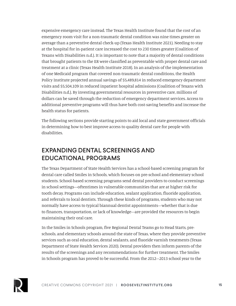expensive emergency care instead. The Texas Health Institute found that the cost of an emergency room visit for a non-traumatic dental condition was nine times greater on average than a preventive dental check-up (Texas Health Institute 2021). Needing to stay at the hospital for in-patient care increased the cost to 230 times greater (Coalition of Texans with Disabilities n.d.). It is important to note that a majority of dental conditions that brought patients to the ER were classified as preventable with proper dental care and treatment at a clinic (Texas Health Institute 2018). In an analysis of the implementation of one Medicaid program that covered non-traumatic dental conditions, the Health Policy Institute projected annual savings of \$5,489,814 in reduced emergency department visits and \$5,504,109 in reduced inpatient hospital admissions (Coalition of Texans with Disabilities n.d.). By investing governmental resources in preventive care, millions of dollars can be saved through the reduction of emergency department services. Access to additional preventive programs will thus have both cost-saving benefits and increase the health status for patients.

The following sections provide starting points to aid local and state government officials in determining how to best improve access to quality dental care for people with disabilities.

## EXPANDING DENTAL SCREENINGS AND EDUCATIONAL PROGRAMS

The Texas Department of State Health Services has a school-based screening program for dental care called Smiles in Schools, which focuses on pre-school and elementary school students. School-based screening programs send dental providers to conduct screenings in school settings—oftentimes in vulnerable communities that are at higher risk for tooth decay. Programs can include education, sealant application, fluoride application, and referrals to local dentists. Through these kinds of programs, students who may not normally have access to typical biannual dentist appointments—whether that is due to finances, transportation, or lack of knowledge—are provided the resources to begin maintaining their oral care.

In the Smiles in Schools program, five Regional Dental Teams go to Head Starts, preschools, and elementary schools around the state of Texas, where they provide preventive services such as oral education, dental sealants, and fluoride varnish treatments (Texas Department of State Health Services 2020). Dental providers then inform parents of the results of the screenings and any recommendations for further treatment. The Smiles in Schools program has proved to be successful. From the 2012–2013 school year to the

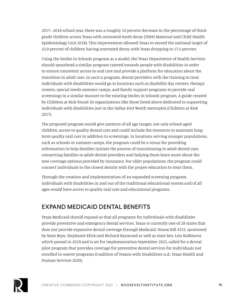2017–2018 school year, there was a roughly 10 percent decrease in the percentage of thirdgrade children across Texas with untreated tooth decay (DSHS Maternal and Child Health Epidemiology Unit 2018). This improvement allowed Texas to exceed the national target of 25.9 percent of children having untreated decay, with Texas dropping to 17.5 percent.

Using the Smiles in Schools program as a model, the Texas Department of Health Services should spearhead a similar program catered towards people with disabilities in order to ensure consistent access to oral care and provide a platform for education about the transition to adult care. In such a program, dental providers with the training to treat individuals with disabilities would go to locations such as disability day centers, therapy centers, special needs summer camps, and family support programs to provide oral screenings in a similar manner to the existing Smiles in Schools program. A guide created by Children at Risk found 30 organizations like those listed above dedicated to supporting individuals with disabilities just in the Dallas-Fort Worth metroplex (Children at Risk 2017).

The proposed program would give patients of all age ranges, not only school-aged children, access to quality dental care and could include the resources to maintain longterm quality oral care in addition to screenings. In locations serving younger populations, such as schools or summer camps, the program could be a venue for providing information to help families initiate the process of transitioning to adult dental care, connecting families to adult dental providers and helping them learn more about the new coverage options provided by insurance. For older populations, the program could connect individuals to the closest dentist with the proper education to treat them.

Through the creation and implementation of an expanded screening program, individuals with disabilities in and out of the traditional educational system and of all ages would have access to quality oral care and educational programs.

## EXPAND MEDICAID DENTAL BENEFITS

Texas Medicaid should expand so that all programs for individuals with disabilities provide preventive and emergency dental services. Texas is currently one of 28 states that does not provide expansive dental coverage through Medicaid. House Bill 4533, sponsored by State Reps. Stephanie Klick and Richard Raymond as well as state Sen. Lois Kolkhorst, which passed in 2019 and is set for implementation September 2023, called for a dental pilot program that provides coverage for preventive dental services for individuals not enrolled in waiver programs (Coalition of Texans with Disabilities n.d.; Texas Health and Human Services 2020).

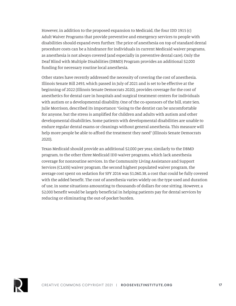However, in addition to the proposed expansion to Medicaid, the four IDD 1915 (c) Adult Waiver Programs that provide preventive and emergency services to people with disabilities should expand even further. The price of anesthesia on top of standard dental procedure costs can be a hindrance for individuals in current Medicaid waiver programs, as anesthesia is not always covered (and especially in preventive dental care). Only the Deaf Blind with Multiple Disabilities (DBMD) Program provides an additional \$2,000 funding for necessary routine local anesthesia.

Other states have recently addressed the necessity of covering the cost of anesthesia. Illinois Senate Bill 2493, which passed in July of 2021 and is set to be effective at the beginning of 2022 (Illinois Senate Democrats 2020), provides coverage for the cost of anesthetics for dental care in hospitals and surgical treatment centers for individuals with autism or a developmental disability. One of the co-sponsors of the bill, state Sen. Julie Morrison, described its importance: "Going to the dentist can be uncomfortable for anyone, but the stress is amplified for children and adults with autism and other developmental disabilities. Some patients with developmental disabilities are unable to endure regular dental exams or cleanings without general anesthesia. This measure will help more people be able to afford the treatment they need" (Illinois Senate Democrats 2020).

Texas Medicaid should provide an additional \$2,000 per year, similarly to the DBMD program, to the other three Medicaid IDD waiver programs, which lack anesthesia coverage for nonroutine services. In the Community Living Assistance and Support Services (CLASS) waiver program, the second highest populated waiver program, the average cost spent on sedation for SFY 2016 was \$1,060.38, a cost that could be fully covered with the added benefit. The cost of anesthesia varies widely on the type used and duration of use, in some situations amounting to thousands of dollars for one sitting. However, a \$2,000 benefit would be largely beneficial in helping patients pay for dental services by reducing or eliminating the out-of-pocket burden.

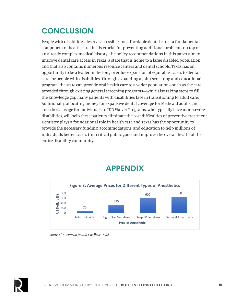# **CONCLUSION**

People with disabilities deserve accessible and affordable dental care—a fundamental component of health care that is crucial for preventing additional problems on top of an already complex medical history. The policy recommendations in this paper aim to improve dental care access in Texas, a state that is home to a large disabled population and that also contains numerous resource centers and dental schools. Texas has an opportunity to be a leader in the long overdue expansion of equitable access to dental care for people with disabilities. Through expanding a joint screening and educational program, the state can provide oral health care to a wider population—such as the care provided through existing general screening programs—while also taking steps to fill the knowledge gap many patients with disabilities face in transitioning to adult care. Additionally, allocating money for expansive dental coverage for Medicaid adults and anesthesia usage for individuals in IDD Waiver Programs, who typically have more severe disabilities, will help these patients eliminate the cost difficulties of preventive treatment. Dentistry plays a foundational role in health care and Texas has the opportunity to provide the necessary funding, accommodations, and education to help millions of individuals better access this critical public good and improve the overall health of the entire disability community.



## **APPENDIX**



*Source: (Downtown Dental Excellence n.d.)*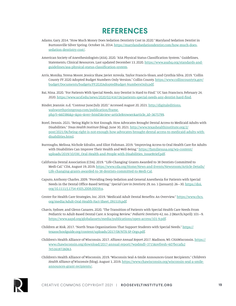## **REFERENCES**

- Adams, Gary. 2014. "How Much Money Does Sedation Dentistry Cost in 2020." Maryland Sedation Dentist in Burtonsville Silver Spring. October 16, 2014. [https://marylandsedationdentist.com/how-much-does](https://marylandsedationdentist.com/how-much-does-sedation-dentistry-cost/)[sedation-dentistry-cost/](https://marylandsedationdentist.com/how-much-does-sedation-dentistry-cost/).
- American Society of Anesthesiologists (ASA). 2020. "ASA Physical Status Classification System." Guidelines, Statements, Clinical Resources. Last updated December 13, 2020. [https://www.asahq.org/standards-and](https://www.asahq.org/standards-and-guidelines/asa-physical-status-classification-system)[guidelines/asa-physical-status-classification-system](https://www.asahq.org/standards-and-guidelines/asa-physical-status-classification-system).
- Arris, Monika, Teresa Moore, Jessica Shaw, Javier Arreola, Taylor Francis-Sloan, and Cynthia Silva. 2019. "Collin County FY 2020 Adopted Budget Numbers Only Version." Collin County. [https://www.collincountytx.gov/](https://www.collincountytx.gov/budget/Documents/budgets/FY2020AdoptedBudget-NumbersOnly.pdf) [budget/Documents/budgets/FY2020AdoptedBudget-NumbersOnly.pdf](https://www.collincountytx.gov/budget/Documents/budgets/FY2020AdoptedBudget-NumbersOnly.pdf).
- Bai, Nina. 2020. "For Patients With Special Needs, Any Dentist Is Hard to Find." UC San Francisco, February 24, 2020. [https://www.ucsf.edu/news/2020/02/416726/patients-special-needs-any-dentist-hard-find.](https://www.ucsf.edu/news/2020/02/416726/patients-special-needs-any-dentist-hard-find)
- Binder, Jeannie. n.d. "Contour June/July 2020." Accessed August 20, 2021. [http://digitaleditions.](http://digitaleditions.walsworthprintgroup.com/publication/frame.php?i=660386&p=&pn=&ver=html5&view=articleBrowser&article_id=3675799) [walsworthprintgroup.com/publication/frame.](http://digitaleditions.walsworthprintgroup.com/publication/frame.php?i=660386&p=&pn=&ver=html5&view=articleBrowser&article_id=3675799) [php?i=660386&p=&pn=&ver=html5&view=articleBrowser&article\\_id=3675799](http://digitaleditions.walsworthprintgroup.com/publication/frame.php?i=660386&p=&pn=&ver=html5&view=articleBrowser&article_id=3675799).
- Borel, Dennis. 2021. "Being Right Is Not Enough. How Advocates Brought Dental Access to Medicaid Adults with Disabilities." *Texas Health Institute* (blog). June 30, 2021. [http://www.texashealthinstitute.org/2/](http://www.texashealthinstitute.org/2/post/2021/06/being-right-is-not-enough-how-advocates-brought-dental-access-to-medicaid-adults-with-disabilities.html) [post/2021/06/being-right-is-not-enough-how-advocates-brought-dental-access-to-medicaid-adults-with](http://www.texashealthinstitute.org/2/post/2021/06/being-right-is-not-enough-how-advocates-brought-dental-access-to-medicaid-adults-with-disabilities.html)[disabilities.html.](http://www.texashealthinstitute.org/2/post/2021/06/being-right-is-not-enough-how-advocates-brought-dental-access-to-medicaid-adults-with-disabilities.html)
- Burroughs, Melissa, Nichole Edralin, and Eliot Fishman. 2019. "Improving Access to Oral Health Care for Adults with Disabilities Can Improve Their Health and Well-Being." [https://familiesusa.org/wp-content/](https://familiesusa.org/wp-content/uploads/2019/10/OH_Oral-Health-and-People-with-Disabilities_IssueBrief.pdf) [uploads/2019/10/OH\\_Oral-Health-and-People-with-Disabilities\\_IssueBrief.pdf.](https://familiesusa.org/wp-content/uploads/2019/10/OH_Oral-Health-and-People-with-Disabilities_IssueBrief.pdf)
- California Dental Association (CDA). 2019. "'Life-Changing' Grants Awarded to 38 Dentists Committed to Medi-Cal." CDA, August 19, 2019. [https://www.cda.org/Home/News-and-Events/Newsroom/Article-Details/](https://www.cda.org/Home/News-and-Events/Newsroom/Article-Details/Life-changing-grants-awarded-to-38-dentists-committed-to-Medi-Cal) [Life-changing-grants-awarded-to-38-dentists-committed-to-Medi-Cal](https://www.cda.org/Home/News-and-Events/Newsroom/Article-Details/Life-changing-grants-awarded-to-38-dentists-committed-to-Medi-Cal).
- Caputo, Anthony Charles. 2009. "Providing Deep Sedation and General Anesthesia for Patients with Special Needs in the Dental Office-Based Setting." *Special Care in Dentistry* 29, no. 1 (January): 26–30. [https://doi.](https://doi.org/10.1111/j.1754-4505.2008.00059.x) [org/10.1111/j.1754-4505.2008.00059.x](https://doi.org/10.1111/j.1754-4505.2008.00059.x).
- Center for Health Care Strategies, Inc. 2019. "Medicaid Adult Dental Benefits: An Overview." [https://www.chcs.](https://www.chcs.org/media/Adult-Oral-Health-Fact-Sheet_091519.pdf) [org/media/Adult-Oral-Health-Fact-Sheet\\_091519.pdf](https://www.chcs.org/media/Adult-Oral-Health-Fact-Sheet_091519.pdf).
- Chavis, Sydnee, and Glenn Canares. 2020. "The Transition of Patients with Special Health Care Needs From Pediatric to Adult-Based Dental Care: A Scoping Review." *Pediatric Dentistry* 42, no. 2 (March/April): 101–9. <https://www.aapd.org/globalassets/media/publications/open-access/101-9.pdf>.
- Children at Risk. 2017. "North Texas Organizations That Support Students with Special Needs." [https://](https://texasschoolguide.org/content/uploads/2017/08/NTX-SP-Orgs.pdf) [texasschoolguide.org/content/uploads/2017/08/NTX-SP-Orgs.pdf.](https://texasschoolguide.org/content/uploads/2017/08/NTX-SP-Orgs.pdf)
- Children's Health Alliance of Wisconsin. 2017. *Alliance Annual Report 2017*. Madison, WI: CHAWisconsin. [https://](https://www.chawisconsin.org/download/2017-annual-report/?wpdmdl=3715&refresh=607bccafa27e51618726063) [www.chawisconsin.org/download/2017-annual-report/?wpdmdl=3715&refresh=607bccafa2](https://www.chawisconsin.org/download/2017-annual-report/?wpdmdl=3715&refresh=607bccafa27e51618726063) [7e51618726063](https://www.chawisconsin.org/download/2017-annual-report/?wpdmdl=3715&refresh=607bccafa27e51618726063).
- Children's Health Alliance of Wisconsin. 2019. "Wisconsin Seal-A-Smile Announces Grant Recipients." *Children's Health Alliance of Wisconsin* (blog). August 1, 2019. [https://www.chawisconsin.org/wisconsin-seal-a-smile](https://www.chawisconsin.org/wisconsin-seal-a-smile-announces-grant-recipients/)[announces-grant-recipients/.](https://www.chawisconsin.org/wisconsin-seal-a-smile-announces-grant-recipients/)

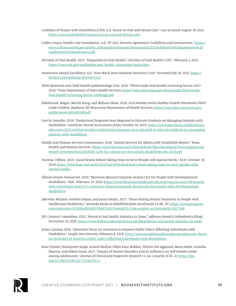- Coalition of Texans with Disabilities (CTD). n.d. "Access to Oral and Dental Care." Last accessed August 19, 2021. [https://www.txdisabilities.org/access-to-oral-and-dental-care.](https://www.txdisabilities.org/access-to-oral-and-dental-care)
- Collin County Health Care Foundation. n.d. "FY 2021 Services Agreement Guidelines and Instructions." [https://](https://www.collincountytx.gov/public_information/features/Documents/2021%20Service%20Agreement%20Guidelines%20Application.pdf) [www.collincountytx.gov/public\\_information/features/Documents/2021%20Service%20Agreement%20](https://www.collincountytx.gov/public_information/features/Documents/2021%20Service%20Agreement%20Guidelines%20Application.pdf) [Guidelines%20Application.pdf](https://www.collincountytx.gov/public_information/features/Documents/2021%20Service%20Agreement%20Guidelines%20Application.pdf).
- Division of Oral Health. 2021. "Disparities in Oral Health | Division of Oral Health | CDC." February 5, 2021. [https://www.cdc.gov/oralhealth/oral\\_health\\_disparities/index.htm](https://www.cdc.gov/oralhealth/oral_health_disparities/index.htm).
- Downtown Dental Excellence. n.d. "How Much Does Sedation Dentistry Cost?" Accessed July 26, 2021. [https://](https://drsikes.com/sedation-dentist-cost/) [drsikes.com/sedation-dentist-cost/.](https://drsikes.com/sedation-dentist-cost/)
- DSHS Maternal and Child Health Epidemiology Unit. 2018. "Third Grade Oral Health Screening Survey 2017- 2018." Texas Department of State Health Services. [https://www.dshs.texas.gov/dental/pdf/Third-Grade-](https://www.dshs.texas.gov/dental/pdf/Third-Grade-Oral-Health-Screening-Survey-Findings.pdf)[Oral-Health-Screening-Survey-Findings.pdf](https://www.dshs.texas.gov/dental/pdf/Third-Grade-Oral-Health-Screening-Survey-Findings.pdf).
- Elderbrook, Megan, Mai Ka Hang, and Melissa Olson. 2018. *2018 Healthy Smiles Healthy Growth: Wisconsin's Third Grade Children*. Madison, WI: Wisconsin Department of Health Services. [https://www.dhs.wisconsin.gov/](https://www.dhs.wisconsin.gov/publications/p0/p00589.pdf) [publications/p0/p00589.pdf](https://www.dhs.wisconsin.gov/publications/p0/p00589.pdf).
- Garvin, Jennifer. 2019. "Predoctoral Programs Now Required to Educate Students on Managing Patients with Disabilities." American Dental Association (ADA), October 16, 2019. [https://www.ada.org/en/publications/](https://www.ada.org/en/publications/ada-news/2019-archive/october/predoctoral-programs-now-required-to-educate-students-on-managing-patients-with-disabilities) [ada-news/2019-archive/october/predoctoral-programs-now-required-to-educate-students-on-managing](https://www.ada.org/en/publications/ada-news/2019-archive/october/predoctoral-programs-now-required-to-educate-students-on-managing-patients-with-disabilities)[patients-with-disabilities](https://www.ada.org/en/publications/ada-news/2019-archive/october/predoctoral-programs-now-required-to-educate-students-on-managing-patients-with-disabilities).
- Health and Human Services Commission. 2018. "Dental Services for Adults with Disabilities Report." Texas Health and Human Services. [https://www.hhs.texas.gov/sites/default/files/documents/laws-regulations/](https://www.hhs.texas.gov/sites/default/files/documents/laws-regulations/reports-presentations/2018/hb-3295-sb-1-dental-services-adults-disabilities-dec-2018.pdf) [reports-presentations/2018/hb-3295-sb-1-dental-services-adults-disabilities-dec-2018.pdf](https://www.hhs.texas.gov/sites/default/files/documents/laws-regulations/reports-presentations/2018/hb-3295-sb-1-dental-services-adults-disabilities-dec-2018.pdf).
- Huertas, Tiffany. 2019. "Local Dental School Taking Steps to Serve People with Special Needs." *KSAT*, October 29, 2019. [https://www.ksat.com/news/2019/10/29/local-dental-school-taking-steps-to-serve-people-with](https://www.ksat.com/news/2019/10/29/local-dental-school-taking-steps-to-serve-people-with-special-needs/)[special-needs/.](https://www.ksat.com/news/2019/10/29/local-dental-school-taking-steps-to-serve-people-with-special-needs/)
- Illinois Senate Democrats. 2020. "Morrison Measure Expands Dental Care for People with Developmental Disabilities." ISDC. February 19, 2020. [https://www.illinoissenatedemocrats.com/caucus-news/39-senator](https://www.illinoissenatedemocrats.com/caucus-news/39-senator-julie-a-morrison-news/471-morrison-measure-expands-dental-care-for-people-with-developmental-disabilities)[julie-a-morrison-news/471-morrison-measure-expands-dental-care-for-people-with-developmental](https://www.illinoissenatedemocrats.com/caucus-news/39-senator-julie-a-morrison-news/471-morrison-measure-expands-dental-care-for-people-with-developmental-disabilities)[disabilities.](https://www.illinoissenatedemocrats.com/caucus-news/39-senator-julie-a-morrison-news/471-morrison-measure-expands-dental-care-for-people-with-developmental-disabilities)
- Jakovčev, Mirjana, Andrea Gaspar, and Jasna Ostojic. 2017. "Stress During Dental Treatment in People with Intellectual Disabilities." *Hrvatska Revija Za Rehabilitacijska Istraživanja* 53, 88–97. [https://www.proquest.](https://www.proquest.com/openview/53185ba0b5cd9709a9721611be662835/1?pq-origsite=gscholar&cbl=2027548) [com/openview/53185ba0b5cd9709a9721611be662835/1?pq-origsite=gscholar&cbl=2027548](https://www.proquest.com/openview/53185ba0b5cd9709a9721611be662835/1?pq-origsite=gscholar&cbl=2027548).
- JDC Content Committee. 2020. "Dental & Oral Health Statistics in Texas." *Jefferson Dental & Orthodontics* (blog). November 16, 2020.<https://www.jeffersondentalclinics.com/blog/dental-oral-health-statistics-in-texas>.
- Jones, Lindsay. 2018. "Advocates Focus on Inclusion to Improve Public Policy Affecting Individuals with Disabilities." *Insight Into Diversity*, February 8, 2018. [https://www.insightintodiversity.com/advocates-focus](https://www.insightintodiversity.com/advocates-focus-on-inclusion-to-improve-public-policy-affecting-individuals-with-disabilities/)[on-inclusion-to-improve-public-policy-affecting-individuals-with-disabilities/](https://www.insightintodiversity.com/advocates-focus-on-inclusion-to-improve-public-policy-affecting-individuals-with-disabilities/).
- Kaur, Puneet, Simarpreet Singh, Anmol Mathur, Diljot Kaur Makkar, Vikram Pal Aggarwal, Manu Batra, Anshika Sharma, and Nikita Goyal. 2017. "Impact of Dental Disorders and its Influence on Self Esteem Levels among Adolescents." *Journal of Clinical and Diagnostic Research* 11, no. 4 (April): ZC05–8. [https://doi.](https://doi.org/10.7860/JCDR/2017/23362.9515) [org/10.7860/JCDR/2017/23362.9515.](https://doi.org/10.7860/JCDR/2017/23362.9515)

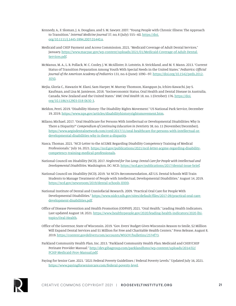- Kennedy, A., F. Sloman, J. A. Douglass, and S. M. Sawyer. 2007. "Young People with Chronic Illness: The Approach to Transition." *Internal Medicine Journal* 37, no, 8 (July): 555–60. [https://doi.](https://doi.org/10.1111/j.1445-5994.2007.01440.x) [org/10.1111/j.1445-5994.2007.01440.x](https://doi.org/10.1111/j.1445-5994.2007.01440.x).
- Medicaid and CHIP Payment and Access Commission. 2021. "Medicaid Coverage of Adult Dental Services," January. [https://www.macpac.gov/wp-content/uploads/2021/01/Medicaid-Coverage-of-Adult-Dental-](https://www.macpac.gov/wp-content/uploads/2021/01/Medicaid-Coverage-of-Adult-Dental-Services.pdf)[Services.pdf](https://www.macpac.gov/wp-content/uploads/2021/01/Medicaid-Coverage-of-Adult-Dental-Services.pdf).
- McManus, M. A., L. R. Pollack, W. C. Cooley, J. W. McAllister, D. Lotstein, B. Strickland, and M. Y. Mann. 2013. "Current Status of Transition Preparation Among Youth With Special Needs in the United States." *Pediatrics: Official Journal of the American Academy of Pediatrics* 131, no. 6 (June): 1090–97. [https://doi.org/10.1542/peds.2012-](https://doi.org/10.1542/peds.2012-3050) [3050](https://doi.org/10.1542/peds.2012-3050).
- Mejia, Gloria C., Hawazin W. Elani, Sam Harper, W. Murray Thomson, Xiangqun Ju, Ichiro Kawachi, Jay S. Kaufman, and Lisa M. Jamieson. 2018. "Socioeconomic Status, Oral Health and Dental Disease in Australia, Canada, New Zealand and the United States." *BMC Oral Health* 18, no. 1 (October): 176. [https://doi.](https://doi.org/10.1186/s12903-018-0630-3) [org/10.1186/s12903-018-0630-3](https://doi.org/10.1186/s12903-018-0630-3).
- Meldon, Perri. 2019. "Disability History: The Disability Rights Movement." US National Park Service, December 19, 2019. <https://www.nps.gov/articles/disabilityhistoryrightsmovement.htm>.
- Milano, Michael. 2017. "Oral Healthcare for Persons With Intellectual or Developmental Disabilities: Why Is There a Disparity?" *Compendium of Continuing Education in Dentistry* 38, no. 11 (November/December). [https://www.aegisdentalnetwork.com/cced/2017/11/oral-healthcare-for-persons-with-intellectual-or](https://www.aegisdentalnetwork.com/cced/2017/11/oral-healthcare-for-persons-with-intellectual-or-developmental-disabilities-why-is-there-a-disparity)[developmental-disabilities-why-is-there-a-disparity.](https://www.aegisdentalnetwork.com/cced/2017/11/oral-healthcare-for-persons-with-intellectual-or-developmental-disabilities-why-is-there-a-disparity)
- Nasca, Thomas. 2021. "NCD Letter to the ACGME Regarding Disability Competency Training of Medical Professionals." July 16, 2021. [https://ncd.gov/publications/2021/ncd-letter-acgme-regarding-disability](https://ncd.gov/publications/2021/ncd-letter-acgme-regarding-disability-competency-training-medical-professionals)[competency-training-medical-professionals.](https://ncd.gov/publications/2021/ncd-letter-acgme-regarding-disability-competency-training-medical-professionals)
- National Council on Disability (NCD). 2017. *Neglected for Too Long: Dental Care for People with Intellectual and Developmental Disabilities*. Washington, DC: NCD. [https://ncd.gov/publications/2017/dental-issue-brief.](https://ncd.gov/publications/2017/dental-issue-brief)
- National Council on Disability (NCD). 2019. "At NCD's Recommendation, All U.S. Dental Schools Will Train Students to Manage Treatment of People with Intellectual, Developmental Disabilities." August 14, 2019. <https://ncd.gov/newsroom/2019/dental-schools-IDDD>.
- National Institute of Dental and Craniofacial Research. 2009. "Practical Oral Care for People With Developmental Disabilities." [https://www.nidcr.nih.gov/sites/default/files/2017-09/practical-oral-care](https://www.nidcr.nih.gov/sites/default/files/2017-09/practical-oral-care-development-disabilities.pdf)[development-disabilities.pdf.](https://www.nidcr.nih.gov/sites/default/files/2017-09/practical-oral-care-development-disabilities.pdf)
- Office of Disease Prevention and Health Promotion (ODPHP). 2021. "Oral Health." Leading Health Indicators. Last updated August 18, 2021. [https://www.healthypeople.gov/2020/leading-health-indicators/2020-lhi](https://www.healthypeople.gov/2020/leading-health-indicators/2020-lhi-topics/Oral-Health)[topics/Oral-Health.](https://www.healthypeople.gov/2020/leading-health-indicators/2020-lhi-topics/Oral-Health)
- Office of the Governor, State of Wisconsin. 2019. "Gov. Evers' Budget Gives Wisconsin Reason to Smile, \$2 Million Will Expand Dental Services and \$1 Million for Free and Charitable Health Centers." Press Release, August 8, 2019. [https://content.govdelivery.com/accounts/WIGOV/bulletins/2574f73.](https://content.govdelivery.com/accounts/WIGOV/bulletins/2574f73)
- Parkland Community Health Plan, Inc. 2013. "Parkland Community Health Plan: Medicaid and CHIP/CHIP Perinate Provider Manual." [http://dev.gibagroup.com/parklandhmo/wp-content/uploads/2014/02/](http://dev.gibagroup.com/parklandhmo/wp-content/uploads/2014/02/PCHP-Medicaid-Prov-Manual.pdf) [PCHP-Medicaid-Prov-Manual.pdf.](http://dev.gibagroup.com/parklandhmo/wp-content/uploads/2014/02/PCHP-Medicaid-Prov-Manual.pdf)

Paying for Senior Care. 2021. "2021 Federal Poverty Guidelines / Federal Poverty Levels." Updated July 16, 2021. <https://www.payingforseniorcare.com/federal-poverty-level>.

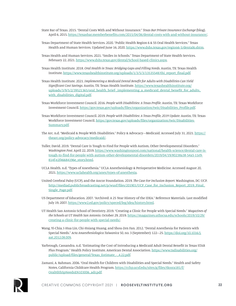State Bar of Texas. 2015. "Dental Costs With and Without Insurance." *Texas Bar Private Insurance Exchange* (blog). April 6, 2015. [https://texasbar.memberbenefits.com/2015/04/06/dental-costs-with-and-without-insurance/.](https://texasbar.memberbenefits.com/2015/04/06/dental-costs-with-and-without-insurance/)

- Texas Department of State Health Services. 2020. "Public Health Region 6 & 5S Oral Health Services." Texas Health and Human Services. Updated June 16, 2020.<https://www.dshs.texas.gov/region6-5/dental6.shtm>.
- Texas Health and Human Services. 2021. "Smiles in Schools." Texas Department of State Health Services. February 22, 2021. <https://www.dshs.texas.gov/dental/School-based-clinics.aspx>.
- Texas Health Institute. 2018. *Oral Health in Texas: Bridging Gaps and Filling Needs*. Austin, TX: Texas Health Institute. [https://www.texashealthinstitute.org/uploads/1/3/5/3/13535548/thi\\_report\\_final.pdf.](https://www.texashealthinstitute.org/uploads/1/3/5/3/13535548/thi_report_final.pdf)
- Texas Health Institute. 2021. *Implementing a Medicaid Dental Benefit for Adults with Disabilities Can Yield Significant Cost Savings*. Austin, TX: Texas Health Institute. [https://www.texashealthinstitute.org/](https://www.texashealthinstitute.org/uploads/3/9/5/2/39521365/oral_health_brief-_implementing_a_medicaid_dental_benefit_for_adults_with_disabilities_digital.pdf) [uploads/3/9/5/2/39521365/oral\\_health\\_brief-\\_implementing\\_a\\_medicaid\\_dental\\_benefit\\_for\\_adults\\_](https://www.texashealthinstitute.org/uploads/3/9/5/2/39521365/oral_health_brief-_implementing_a_medicaid_dental_benefit_for_adults_with_disabilities_digital.pdf) [with\\_disabilities\\_digital.pdf](https://www.texashealthinstitute.org/uploads/3/9/5/2/39521365/oral_health_brief-_implementing_a_medicaid_dental_benefit_for_adults_with_disabilities_digital.pdf).
- Texas Workforce Investment Council. 2016. *People with Disabilities: A Texas Profile*. Austin, TX: Texas Workforce Investment Council. [https://gov.texas.gov/uploads/files/organization/twic/Disabilities\\_Profile.pdf](https://gov.texas.gov/uploads/files/organization/twic/Disabilities_Profile.pdf).
- Texas Workforce Investment Council. 2019. *People with Disabilities: A Texas Profile, 2019 Update*. Austin, TX: Texas Workforce Investment Council. [https://gov.texas.gov/uploads/files/organization/twic/Disabilities-](https://gov.texas.gov/uploads/files/organization/twic/Disabilities-Summary.pdf)[Summary.pdf](https://gov.texas.gov/uploads/files/organization/twic/Disabilities-Summary.pdf).
- The Arc. n.d. "Medicaid & People With Disabilities." Policy & Advocacy—Medicaid. Accessed July 31, 2021. [https://](https://thearc.org/policy-advocacy/medicaid/) [thearc.org/policy-advocacy/medicaid/.](https://thearc.org/policy-advocacy/medicaid/)
- Tuller, David. 2019. "Dental Care Is Tough to Find for People with Autism, Other Developmental Disorders." *Washington Post*, April 22, 2019. [https://www.washingtonpost.com/national/health-science/dental-care-is](https://www.washingtonpost.com/national/health-science/dental-care-is-tough-to-find-for-people-with-autism-other-developmental-disorders/2019/04/19/80238a38-54a5-11e9-814f-e2f46684196e_story.html)[tough-to-find-for-people-with-autism-other-developmental-disorders/2019/04/19/80238a38-54a5-11e9-](https://www.washingtonpost.com/national/health-science/dental-care-is-tough-to-find-for-people-with-autism-other-developmental-disorders/2019/04/19/80238a38-54a5-11e9-814f-e2f46684196e_story.html) [814f-e2f46684196e\\_story.html.](https://www.washingtonpost.com/national/health-science/dental-care-is-tough-to-find-for-people-with-autism-other-developmental-disorders/2019/04/19/80238a38-54a5-11e9-814f-e2f46684196e_story.html)
- UCLA Health. n.d. "Types of Anesthesia." UCLA Anesthesiology & Perioperative Medicine. Accessed August 20, 2021. [https://www.uclahealth.org/anes/types-of-anesthesia.](https://www.uclahealth.org/anes/types-of-anesthesia)
- United Cerebral Palsy (UCP), and the Ancor Foundation. 2019. *The Case For Inclusion Report*. Washington, DC: UCP. [http://mediad.publicbroadcasting.net/p/wusf/files/201901/UCP\\_Case\\_for\\_Inclusion\\_Report\\_2019\\_Final\\_](http://mediad.publicbroadcasting.net/p/wusf/files/201901/UCP_Case_for_Inclusion_Report_2019_Final_Single_Page.pdf) [Single\\_Page.pdf](http://mediad.publicbroadcasting.net/p/wusf/files/201901/UCP_Case_for_Inclusion_Report_2019_Final_Single_Page.pdf).
- US Department of Education. 2007. "Archived: A 25 Year History of the IDEA." Reference Materials. Last modified July 19, 2007. <https://www2.ed.gov/policy/speced/leg/idea/history.html>.
- UT Health San Antonio School of Dentistry. 2019. "Creating a Clinic for People with Special Needs." *Magazines of the Schools at UT Health San Antonio*, October 29, 2019. [https://magazines.uthscsa.edu/schools/2019/10/29/](https://magazines.uthscsa.edu/schools/2019/10/29/creating-a-clinic-for-people-with-special-needs/) [creating-a-clinic-for-people-with-special-needs/.](https://magazines.uthscsa.edu/schools/2019/10/29/creating-a-clinic-for-people-with-special-needs/)
- Wang, Yi-Chia, I-Hua Lin, Chi-Hsiang Huang, and Shou-Zen Fan. 2012. "Dental Anesthesia for Patients with Special Needs." *Acta Anaesthesiologica Taiwanica* 50, no. 3 (September): 122–25. [https://doi.org/10.1016/j.](https://doi.org/10.1016/j.aat.2012.08.009) [aat.2012.08.009](https://doi.org/10.1016/j.aat.2012.08.009).
- Yarbrough, Cassandra. n.d. "Estimating the Cost of Introducing a Medicaid Adult Dental Benefit in Texas STAR Plus Program." Health Policy Institute, American Dental Association. [https://www.txdisabilities.org/](https://www.txdisabilities.org/public/upload/files/general/Texas_Estimate_-_4.22.pdf) [public/upload/files/general/Texas\\_Estimate\\_-\\_4.22.pdf](https://www.txdisabilities.org/public/upload/files/general/Texas_Estimate_-_4.22.pdf).
- Zamani, A. Rahman. 2006. "Oral Health for Children with Disabilities and Special Needs." Health and Safety Notes, California Childcare Health Program. [https://cchp.ucsf.edu/sites/g/files/tkssra181/f/](https://cchp.ucsf.edu/sites/g/files/tkssra181/f/OralHlthSpNeedsEN103006_adr.pdf) [OralHlthSpNeedsEN103006\\_adr.pdf.](https://cchp.ucsf.edu/sites/g/files/tkssra181/f/OralHlthSpNeedsEN103006_adr.pdf)